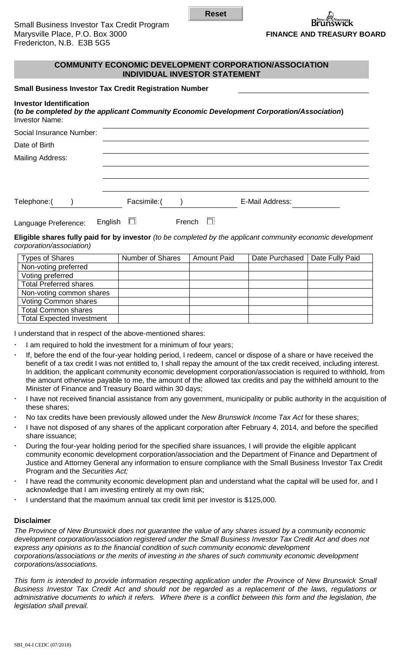**Reset**

# **COMMUNITY ECONOMIC DEVELOPMENT CORPORATION/ASSOCIATION INDIVIDUAL INVESTOR STATEMENT**

## **Small Business Investor Tax Credit Registration Number**

#### **Investor Identification**

|                | (to be completed by the applicant Community Economic Development Corporation/Association) |
|----------------|-------------------------------------------------------------------------------------------|
| Investor Name: |                                                                                           |

| Social Insurance Number: |         |              |        |                 |
|--------------------------|---------|--------------|--------|-----------------|
| Date of Birth            |         |              |        |                 |
| <b>Mailing Address:</b>  |         |              |        |                 |
|                          |         |              |        |                 |
|                          |         |              |        |                 |
| Telephone:(              |         | Facsimile: ( |        | E-Mail Address: |
| Language Preference:     | English | $\Box$       | French |                 |

**Eligible shares fully paid for by investor** *(to be completed by the applicant community economic development corporation/association)*

| <b>Types of Shares</b>           | Number of Shares | <b>Amount Paid</b> | Date Purchased   Date Fully Paid |  |
|----------------------------------|------------------|--------------------|----------------------------------|--|
| Non-voting preferred             |                  |                    |                                  |  |
| Voting preferred                 |                  |                    |                                  |  |
| <b>Total Preferred shares</b>    |                  |                    |                                  |  |
| Non-voting common shares         |                  |                    |                                  |  |
| Voting Common shares             |                  |                    |                                  |  |
| <b>Total Common shares</b>       |                  |                    |                                  |  |
| <b>Total Expected Investment</b> |                  |                    |                                  |  |

I understand that in respect of the above-mentioned shares:

- I am required to hold the investment for a minimum of four years;
- If, before the end of the four-year holding period, I redeem, cancel or dispose of a share or have received the benefit of a tax credit I was not entitled to, I shall repay the amount of the tax credit received, including interest. In addition, the applicant community economic development corporation/association is required to withhold, from the amount otherwise payable to me, the amount of the allowed tax credits and pay the withheld amount to the Minister of Finance and Treasury Board within 30 days;
- I have not received financial assistance from any government, municipality or public authority in the acquisition of these shares;
- No tax credits have been previously allowed under the *New Brunswick Income Tax Act* for these shares;
- I have not disposed of any shares of the applicant corporation after February 4, 2014, and before the specified share issuance;
- During the four-year holding period for the specified share issuances, I will provide the eligible applicant community economic development corporation/association and the Department of Finance and Department of Justice and Attorney General any information to ensure compliance with the Small Business Investor Tax Credit Program and the *Securities Act;*
- I have read the community economic development plan and understand what the capital will be used for, and I acknowledge that I am investing entirely at my own risk;
- I understand that the maximum annual tax credit limit per investor is \$125,000.

## **Disclaimer**

*The Province of New Brunswick does not guarantee the value of any shares issued by a community economic development corporation/association registered under the Small Business Investor Tax Credit Act and does not express any opinions as to the financial condition of such community economic development corporations/associations or the merits of investing in the shares of such community economic development corporations/associations.*

*This form is intended to provide information respecting application under the Province of New Brunswick Small Business Investor Tax Credit Act and should not be regarded as a replacement of the laws, regulations or*  administrative documents to which it refers. Where there is a conflict between this form and the legislation, the *legislation shall prevail.*